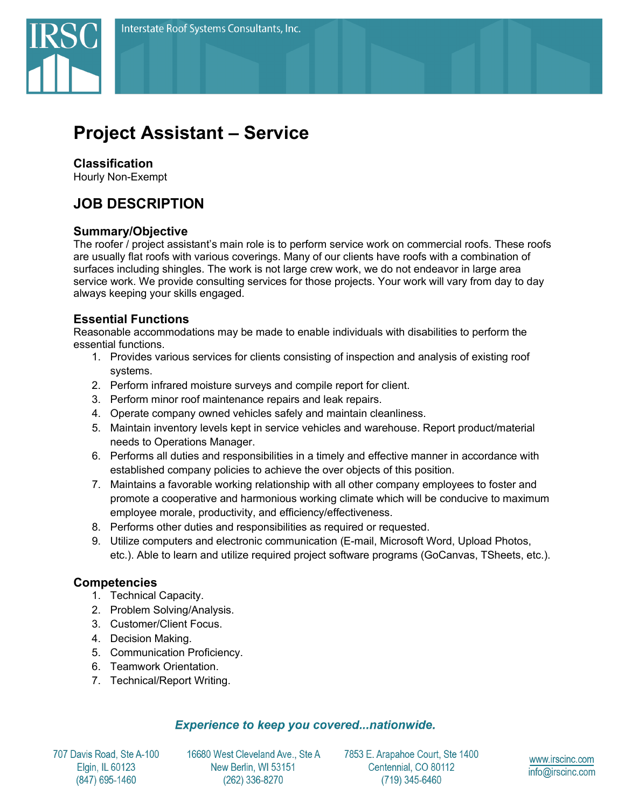

# **Project Assistant – Service**

# **Classification**

Hourly Non-Exempt

# **JOB DESCRIPTION**

# **Summary/Objective**

The roofer / project assistant's main role is to perform service work on commercial roofs. These roofs are usually flat roofs with various coverings. Many of our clients have roofs with a combination of surfaces including shingles. The work is not large crew work, we do not endeavor in large area service work. We provide consulting services for those projects. Your work will vary from day to day always keeping your skills engaged.

# **Essential Functions**

Reasonable accommodations may be made to enable individuals with disabilities to perform the essential functions.

- 1. Provides various services for clients consisting of inspection and analysis of existing roof systems.
- 2. Perform infrared moisture surveys and compile report for client.
- 3. Perform minor roof maintenance repairs and leak repairs.
- 4. Operate company owned vehicles safely and maintain cleanliness.
- 5. Maintain inventory levels kept in service vehicles and warehouse. Report product/material needs to Operations Manager.
- 6. Performs all duties and responsibilities in a timely and effective manner in accordance with established company policies to achieve the over objects of this position.
- 7. Maintains a favorable working relationship with all other company employees to foster and promote a cooperative and harmonious working climate which will be conducive to maximum employee morale, productivity, and efficiency/effectiveness.
- 8. Performs other duties and responsibilities as required or requested.
- 9. Utilize computers and electronic communication (E-mail, Microsoft Word, Upload Photos, etc.). Able to learn and utilize required project software programs (GoCanvas, TSheets, etc.).

# **Competencies**

- 1. Technical Capacity.
- 2. Problem Solving/Analysis.
- 3. Customer/Client Focus.
- 4. Decision Making.
- 5. Communication Proficiency.
- 6. Teamwork Orientation.
- 7. Technical/Report Writing.

#### **Experience to keep you covered...nationwide.**

707 Davis Road, Ste A-100 Elgin, IL 60123 (847) 695-1460

16680 West Cleveland Ave., Ste A New Berlin, WI 53151 (262) 336-8270

7853 E. Arapahoe Court, Ste 1400 Centennial, CO 80112 (719) 345-6460

www.irscinc.com info@irscinc.com